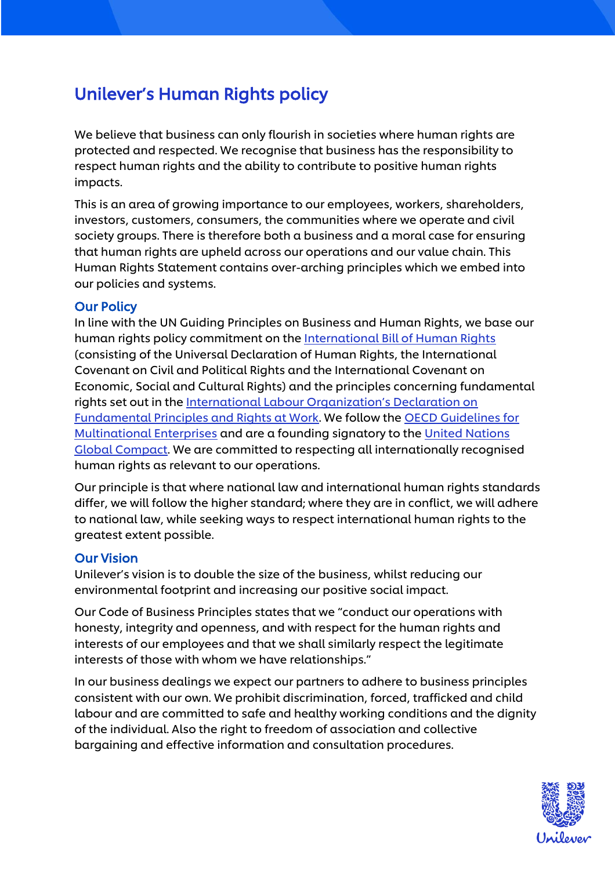# Unilever's Human Rights policy

We believe that business can only flourish in societies where human rights are protected and respected. We recognise that business has the responsibility to respect human rights and the ability to contribute to positive human rights impacts.

This is an area of growing importance to our employees, workers, shareholders, investors, customers, consumers, the communities where we operate and civil society groups. There is therefore both a business and a moral case for ensuring that human rights are upheld across our operations and our value chain. This Human Rights Statement contains over-arching principles which we embed into our policies and systems.

#### Our Policy

In line with the UN Guiding Principles on Business and Human Rights, we base our human rights policy commitment on the [International Bill of Human Rights](https://www.ohchr.org/Documents/Publications/FactSheet2Rev.1en.pdf) (consisting of the Universal Declaration of Human Rights, the International Covenant on Civil and Political Rights and the International Covenant on Economic, Social and Cultural Rights) and the principles concerning fundamental rights set out in the [International Labour Organization's Declaration on](http://www.ilo.org/declaration/lang--en/index.htm)  [Fundamental Principles and Rights at Work.](http://www.ilo.org/declaration/lang--en/index.htm) We follow the [OECD Guidelines for](http://www.oecd.org/investment/mne/)  [Multinational Enterprises](http://www.oecd.org/investment/mne/) and are a founding signatory to th[e United Nations](https://www.unglobalcompact.org/about)  [Global Compact.](https://www.unglobalcompact.org/about) We are committed to respecting all internationally recognised human rights as relevant to our operations.

Our principle is that where national law and international human rights standards differ, we will follow the higher standard; where they are in conflict, we will adhere to national law, while seeking ways to respect international human rights to the greatest extent possible.

#### Our Vision

Unilever's vision is to double the size of the business, whilst reducing our environmental footprint and increasing our positive social impact.

Our Code of Business Principles states that we "conduct our operations with honesty, integrity and openness, and with respect for the human rights and interests of our employees and that we shall similarly respect the legitimate interests of those with whom we have relationships."

In our business dealings we expect our partners to adhere to business principles consistent with our own. We prohibit discrimination, forced, trafficked and child labour and are committed to safe and healthy working conditions and the dignity of the individual. Also the right to freedom of association and collective bargaining and effective information and consultation procedures.

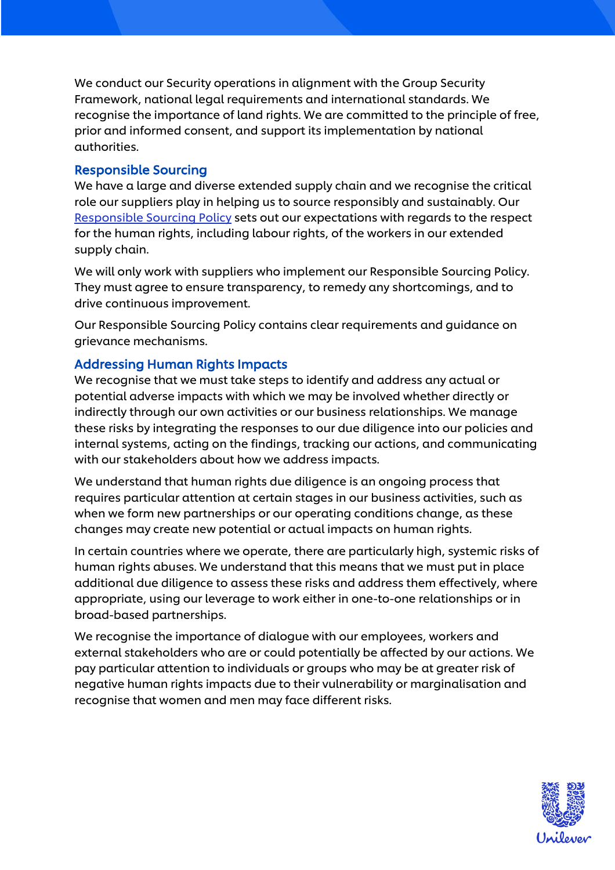We conduct our Security operations in alignment with the Group Security Framework, national legal requirements and international standards. We recognise the importance of land rights. We are committed to the principle of free, prior and informed consent, and support its implementation by national authorities.

#### Responsible Sourcing

We have a large and diverse extended supply chain and we recognise the critical role our suppliers play in helping us to source responsibly and sustainably. Our [Responsible Sourcing Policy](https://www.unilever.com/Images/responsible-sourcing-policy-interactive-final_tcm244-504736_en.pdf) sets out our expectations with regards to the respect for the human rights, including labour rights, of the workers in our extended supply chain.

We will only work with suppliers who implement our Responsible Sourcing Policy. They must agree to ensure transparency, to remedy any shortcomings, and to drive continuous improvement.

Our Responsible Sourcing Policy contains clear requirements and guidance on grievance mechanisms.

### Addressing Human Rights Impacts

We recognise that we must take steps to identify and address any actual or potential adverse impacts with which we may be involved whether directly or indirectly through our own activities or our business relationships. We manage these risks by integrating the responses to our due diligence into our policies and internal systems, acting on the findings, tracking our actions, and communicating with our stakeholders about how we address impacts.

We understand that human rights due diligence is an ongoing process that requires particular attention at certain stages in our business activities, such as when we form new partnerships or our operating conditions change, as these changes may create new potential or actual impacts on human rights.

In certain countries where we operate, there are particularly high, systemic risks of human rights abuses. We understand that this means that we must put in place additional due diligence to assess these risks and address them effectively, where appropriate, using our leverage to work either in one-to-one relationships or in broad-based partnerships.

We recognise the importance of dialogue with our employees, workers and external stakeholders who are or could potentially be affected by our actions. We pay particular attention to individuals or groups who may be at greater risk of negative human rights impacts due to their vulnerability or marginalisation and recognise that women and men may face different risks.

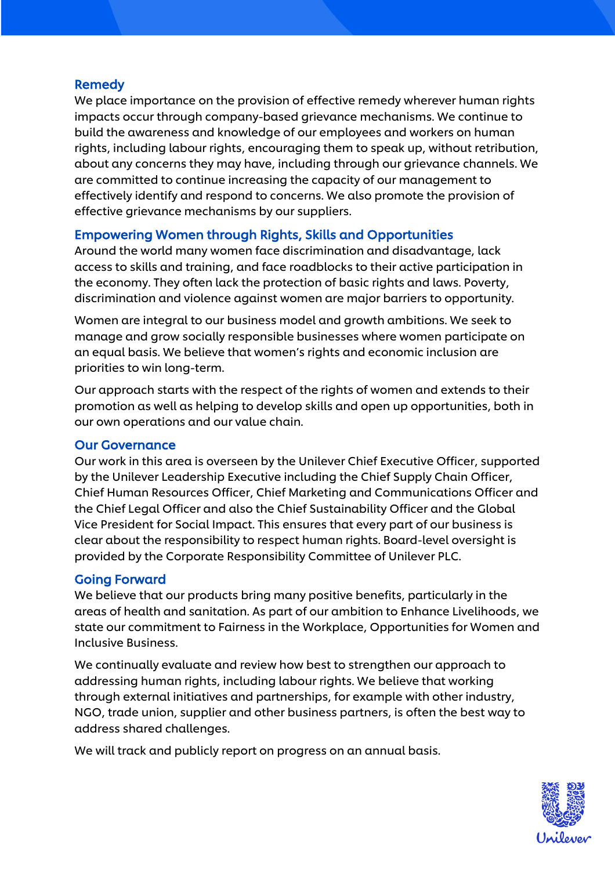## **Remedy**

We place importance on the provision of effective remedy wherever human rights impacts occur through company-based grievance mechanisms. We continue to build the awareness and knowledge of our employees and workers on human rights, including labour rights, encouraging them to speak up, without retribution, about any concerns they may have, including through our grievance channels. We are committed to continue increasing the capacity of our management to effectively identify and respond to concerns. We also promote the provision of effective grievance mechanisms by our suppliers.

## Empowering Women through Rights, Skills and Opportunities

Around the world many women face discrimination and disadvantage, lack access to skills and training, and face roadblocks to their active participation in the economy. They often lack the protection of basic rights and laws. Poverty, discrimination and violence against women are major barriers to opportunity.

Women are integral to our business model and growth ambitions. We seek to manage and grow socially responsible businesses where women participate on an equal basis. We believe that women's rights and economic inclusion are priorities to win long-term.

Our approach starts with the respect of the rights of women and extends to their promotion as well as helping to develop skills and open up opportunities, both in our own operations and our value chain.

### Our Governance

Our work in this area is overseen by the Unilever Chief Executive Officer, supported by the Unilever Leadership Executive including the Chief Supply Chain Officer, Chief Human Resources Officer, Chief Marketing and Communications Officer and the Chief Legal Officer and also the Chief Sustainability Officer and the Global Vice President for Social Impact. This ensures that every part of our business is clear about the responsibility to respect human rights. Board-level oversight is provided by the Corporate Responsibility Committee of Unilever PLC.

### Going Forward

We believe that our products bring many positive benefits, particularly in the areas of health and sanitation. As part of our ambition to Enhance Livelihoods, we state our commitment to Fairness in the Workplace, Opportunities for Women and Inclusive Business.

We continually evaluate and review how best to strengthen our approach to addressing human rights, including labour rights. We believe that working through external initiatives and partnerships, for example with other industry, NGO, trade union, supplier and other business partners, is often the best way to address shared challenges.

We will track and publicly report on progress on an annual basis.